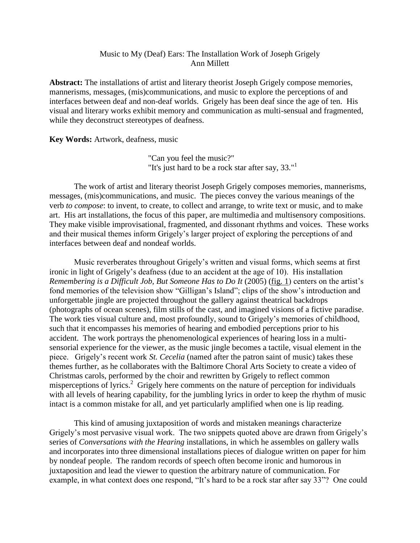## Music to My (Deaf) Ears: The Installation Work of Joseph Grigely Ann Millett

**Abstract:** The installations of artist and literary theorist Joseph Grigely compose memories, mannerisms, messages, (mis)communications, and music to explore the perceptions of and interfaces between deaf and non-deaf worlds. Grigely has been deaf since the age of ten. His visual and literary works exhibit memory and communication as multi-sensual and fragmented, while they deconstruct stereotypes of deafness.

**Key Words:** Artwork, deafness, music

"Can you feel the music?" "It's just hard to be a rock star after say,  $33.^{11}$ 

The work of artist and literary theorist Joseph Grigely composes memories, mannerisms, messages, (mis)communications, and music. The pieces convey the various meanings of the verb *to compose*: to invent, to create, to collect and arrange, to write text or music, and to make art. His art installations, the focus of this paper, are multimedia and multisensory compositions. They make visible improvisational, fragmented, and dissonant rhythms and voices. These works and their musical themes inform Grigely's larger project of exploring the perceptions of and interfaces between deaf and nondeaf worlds.

Music reverberates throughout Grigely's written and visual forms, which seems at first ironic in light of Grigely's deafness (due to an accident at the age of 10). His installation *Remembering is a Difficult Job, But Someone Has to Do It* (2005) [\(fig. 1\)](#page-10-0) centers on the artist's fond memories of the television show "Gilligan's Island"; clips of the show's introduction and unforgettable jingle are projected throughout the gallery against theatrical backdrops (photographs of ocean scenes), film stills of the cast, and imagined visions of a fictive paradise. The work ties visual culture and, most profoundly, sound to Grigely's memories of childhood, such that it encompasses his memories of hearing and embodied perceptions prior to his accident. The work portrays the phenomenological experiences of hearing loss in a multisensorial experience for the viewer, as the music jingle becomes a tactile, visual element in the piece. Grigely's recent work *St. Cecelia* (named after the patron saint of music) takes these themes further, as he collaborates with the Baltimore Choral Arts Society to create a video of Christmas carols, performed by the choir and rewritten by Grigely to reflect common misperceptions of lyrics.<sup>2</sup> Grigely here comments on the nature of perception for individuals with all levels of hearing capability, for the jumbling lyrics in order to keep the rhythm of music intact is a common mistake for all, and yet particularly amplified when one is lip reading.

This kind of amusing juxtaposition of words and mistaken meanings characterize Grigely's most pervasive visual work. The two snippets quoted above are drawn from Grigely's series of *Conversations with the Hearing* installations, in which he assembles on gallery walls and incorporates into three dimensional installations pieces of dialogue written on paper for him by nondeaf people. The random records of speech often become ironic and humorous in juxtaposition and lead the viewer to question the arbitrary nature of communication. For example, in what context does one respond, "It's hard to be a rock star after say 33"? One could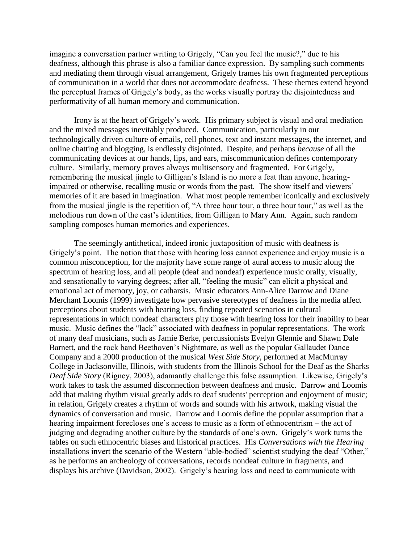imagine a conversation partner writing to Grigely, "Can you feel the music?," due to his deafness, although this phrase is also a familiar dance expression. By sampling such comments and mediating them through visual arrangement, Grigely frames his own fragmented perceptions of communication in a world that does not accommodate deafness. These themes extend beyond the perceptual frames of Grigely's body, as the works visually portray the disjointedness and performativity of all human memory and communication.

Irony is at the heart of Grigely's work. His primary subject is visual and oral mediation and the mixed messages inevitably produced. Communication, particularly in our technologically driven culture of emails, cell phones, text and instant messages, the internet, and online chatting and blogging, is endlessly disjointed. Despite, and perhaps *because* of all the communicating devices at our hands, lips, and ears, miscommunication defines contemporary culture. Similarly, memory proves always multisensory and fragmented. For Grigely, remembering the musical jingle to Gilligan's Island is no more a feat than anyone, hearingimpaired or otherwise, recalling music or words from the past. The show itself and viewers' memories of it are based in imagination. What most people remember iconically and exclusively from the musical jingle is the repetition of, "A three hour tour, a three hour tour," as well as the melodious run down of the cast's identities, from Gilligan to Mary Ann. Again, such random sampling composes human memories and experiences.

The seemingly antithetical, indeed ironic juxtaposition of music with deafness is Grigely's point. The notion that those with hearing loss cannot experience and enjoy music is a common misconception, for the majority have some range of aural access to music along the spectrum of hearing loss, and all people (deaf and nondeaf) experience music orally, visually, and sensationally to varying degrees; after all, "feeling the music" can elicit a physical and emotional act of memory, joy, or catharsis. Music educators Ann-Alice Darrow and Diane Merchant Loomis (1999) investigate how pervasive stereotypes of deafness in the media affect perceptions about students with hearing loss, finding repeated scenarios in cultural representations in which nondeaf characters pity those with hearing loss for their inability to hear music. Music defines the "lack" associated with deafness in popular representations. The work of many deaf musicians, such as Jamie Berke, percussionists Evelyn Glennie and Shawn Dale Barnett, and the rock band Beethoven's Nightmare, as well as the popular Gallaudet Dance Company and a 2000 production of the musical *West Side Story*, performed at MacMurray College in Jacksonville, Illinois, with students from the Illinois School for the Deaf as the Sharks *Deaf Side Story* (Rigney, 2003), adamantly challenge this false assumption. Likewise, Grigely's work takes to task the assumed disconnection between deafness and music. Darrow and Loomis add that making rhythm visual greatly adds to deaf students' perception and enjoyment of music; in relation, Grigely creates a rhythm of words and sounds with his artwork, making visual the dynamics of conversation and music. Darrow and Loomis define the popular assumption that a hearing impairment forecloses one's access to music as a form of ethnocentrism – the act of judging and degrading another culture by the standards of one's own. Grigely's work turns the tables on such ethnocentric biases and historical practices. His *Conversations with the Hearing* installations invert the scenario of the Western "able-bodied" scientist studying the deaf "Other," as he performs an archeology of conversations, records nondeaf culture in fragments, and displays his archive (Davidson, 2002). Grigely's hearing loss and need to communicate with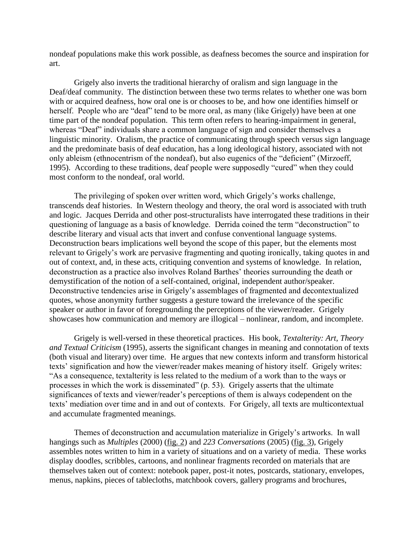nondeaf populations make this work possible, as deafness becomes the source and inspiration for art.

Grigely also inverts the traditional hierarchy of oralism and sign language in the Deaf/deaf community. The distinction between these two terms relates to whether one was born with or acquired deafness, how oral one is or chooses to be, and how one identifies himself or herself. People who are "deaf" tend to be more oral, as many (like Grigely) have been at one time part of the nondeaf population. This term often refers to hearing-impairment in general, whereas "Deaf" individuals share a common language of sign and consider themselves a linguistic minority. Oralism, the practice of communicating through speech versus sign language and the predominate basis of deaf education, has a long ideological history, associated with not only ableism (ethnocentrism of the nondeaf), but also eugenics of the "deficient" (Mirzoeff, 1995). According to these traditions, deaf people were supposedly "cured" when they could most conform to the nondeaf, oral world.

The privileging of spoken over written word, which Grigely's works challenge, transcends deaf histories. In Western theology and theory, the oral word is associated with truth and logic. Jacques Derrida and other post-structuralists have interrogated these traditions in their questioning of language as a basis of knowledge. Derrida coined the term "deconstruction" to describe literary and visual acts that invert and confuse conventional language systems. Deconstruction bears implications well beyond the scope of this paper, but the elements most relevant to Grigely's work are pervasive fragmenting and quoting ironically, taking quotes in and out of context, and, in these acts, critiquing convention and systems of knowledge. In relation, deconstruction as a practice also involves Roland Barthes' theories surrounding the death or demystification of the notion of a self-contained, original, independent author/speaker. Deconstructive tendencies arise in Grigely's assemblages of fragmented and decontextualized quotes, whose anonymity further suggests a gesture toward the irrelevance of the specific speaker or author in favor of foregrounding the perceptions of the viewer/reader. Grigely showcases how communication and memory are illogical – nonlinear, random, and incomplete.

Grigely is well-versed in these theoretical practices. His book, *Textalterity: Art, Theory and Textual Criticism* (1995), asserts the significant changes in meaning and connotation of texts (both visual and literary) over time. He argues that new contexts inform and transform historical texts' signification and how the viewer/reader makes meaning of history itself. Grigely writes: "As a consequence, textalterity is less related to the medium of a work than to the ways or processes in which the work is disseminated" (p. 53). Grigely asserts that the ultimate significances of texts and viewer/reader's perceptions of them is always codependent on the texts' mediation over time and in and out of contexts. For Grigely, all texts are multicontextual and accumulate fragmented meanings.

Themes of deconstruction and accumulation materialize in Grigely's artworks. In wall hangings such as *Multiples* (2000) [\(fig. 2\)](#page-11-0) and *223 Conversations* (2005) [\(fig. 3\)](#page-12-0), Grigely assembles notes written to him in a variety of situations and on a variety of media. These works display doodles, scribbles, cartoons, and nonlinear fragments recorded on materials that are themselves taken out of context: notebook paper, post-it notes, postcards, stationary, envelopes, menus, napkins, pieces of tablecloths, matchbook covers, gallery programs and brochures,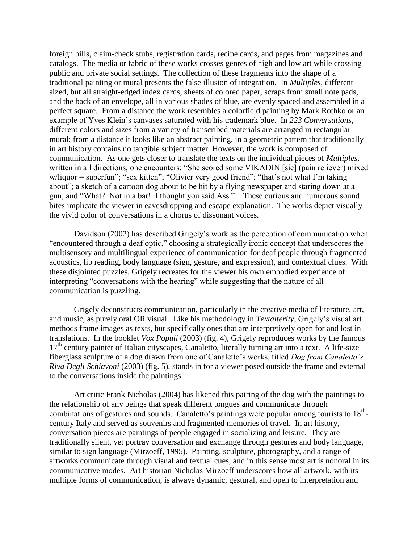foreign bills, claim-check stubs, registration cards, recipe cards, and pages from magazines and catalogs. The media or fabric of these works crosses genres of high and low art while crossing public and private social settings. The collection of these fragments into the shape of a traditional painting or mural presents the false illusion of integration. In *Multiples*, different sized, but all straight-edged index cards, sheets of colored paper, scraps from small note pads, and the back of an envelope, all in various shades of blue, are evenly spaced and assembled in a perfect square. From a distance the work resembles a colorfield painting by Mark Rothko or an example of Yves Klein's canvases saturated with his trademark blue. In *223 Conversations*, different colors and sizes from a variety of transcribed materials are arranged in rectangular mural; from a distance it looks like an abstract painting, in a geometric pattern that traditionally in art history contains no tangible subject matter. However, the work is composed of communication. As one gets closer to translate the texts on the individual pieces of *Multiples*, written in all directions, one encounters: "She scored some VIKADIN [sic] (pain reliever) mixed w/liquor = superfun"; "sex kitten"; "Olivier very good friend"; "that's not what I'm taking about"; a sketch of a cartoon dog about to be hit by a flying newspaper and staring down at a gun; and "What? Not in a bar! I thought you said Ass." These curious and humorous sound bites implicate the viewer in eavesdropping and escape explanation. The works depict visually the vivid color of conversations in a chorus of dissonant voices.

Davidson (2002) has described Grigely's work as the perception of communication when "encountered through a deaf optic," choosing a strategically ironic concept that underscores the multisensory and multilingual experience of communication for deaf people through fragmented acoustics, lip reading, body language (sign, gesture, and expression), and contextual clues. With these disjointed puzzles, Grigely recreates for the viewer his own embodied experience of interpreting "conversations with the hearing" while suggesting that the nature of all communication is puzzling.

Grigely deconstructs communication, particularly in the creative media of literature, art, and music, as purely oral OR visual. Like his methodology in *Textalterity*, Grigely's visual art methods frame images as texts, but specifically ones that are interpretively open for and lost in translations. In the booklet *Vox Populi* (2003) [\(fig. 4\)](#page-12-1), Grigely reproduces works by the famous  $17<sup>th</sup>$  century painter of Italian cityscapes, Canaletto, literally turning art into a text. A life-size fiberglass sculpture of a dog drawn from one of Canaletto's works, titled *Dog from Canaletto's Riva Degli Schiavoni* (2003) [\(fig. 5\)](#page-12-2), stands in for a viewer posed outside the frame and external to the conversations inside the paintings.

Art critic Frank Nicholas (2004) has likened this pairing of the dog with the paintings to the relationship of any beings that speak different tongues and communicate through combinations of gestures and sounds. Canaletto's paintings were popular among tourists to 18<sup>th</sup>century Italy and served as souvenirs and fragmented memories of travel. In art history, conversation pieces are paintings of people engaged in socializing and leisure. They are traditionally silent, yet portray conversation and exchange through gestures and body language, similar to sign language (Mirzoeff, 1995). Painting, sculpture, photography, and a range of artworks communicate through visual and textual cues, and in this sense most art is nonoral in its communicative modes. Art historian Nicholas Mirzoeff underscores how all artwork, with its multiple forms of communication, is always dynamic, gestural, and open to interpretation and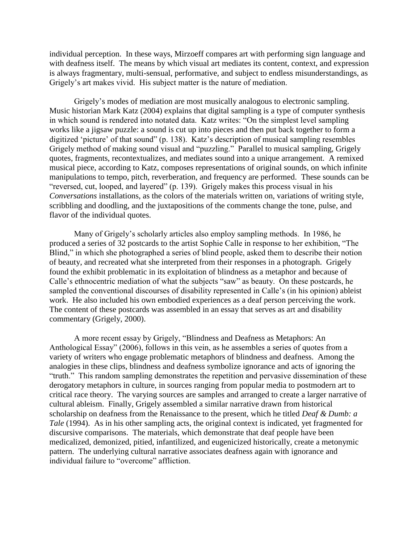individual perception. In these ways, Mirzoeff compares art with performing sign language and with deafness itself. The means by which visual art mediates its content, context, and expression is always fragmentary, multi-sensual, performative, and subject to endless misunderstandings, as Grigely's art makes vivid. His subject matter is the nature of mediation.

Grigely's modes of mediation are most musically analogous to electronic sampling. Music historian Mark Katz (2004) explains that digital sampling is a type of computer synthesis in which sound is rendered into notated data. Katz writes: "On the simplest level sampling works like a jigsaw puzzle: a sound is cut up into pieces and then put back together to form a digitized 'picture' of that sound" (p. 138). Katz's description of musical sampling resembles Grigely method of making sound visual and "puzzling." Parallel to musical sampling, Grigely quotes, fragments, recontextualizes, and mediates sound into a unique arrangement. A remixed musical piece, according to Katz, composes representations of original sounds, on which infinite manipulations to tempo, pitch, reverberation, and frequency are performed. These sounds can be "reversed, cut, looped, and layered" (p. 139). Grigely makes this process visual in his *Conversations* installations, as the colors of the materials written on, variations of writing style, scribbling and doodling, and the juxtapositions of the comments change the tone, pulse, and flavor of the individual quotes.

Many of Grigely's scholarly articles also employ sampling methods. In 1986, he produced a series of 32 postcards to the artist Sophie Calle in response to her exhibition, "The Blind," in which she photographed a series of blind people, asked them to describe their notion of beauty, and recreated what she interpreted from their responses in a photograph. Grigely found the exhibit problematic in its exploitation of blindness as a metaphor and because of Calle's ethnocentric mediation of what the subjects "saw" as beauty. On these postcards, he sampled the conventional discourses of disability represented in Calle's (in his opinion) ableist work. He also included his own embodied experiences as a deaf person perceiving the work. The content of these postcards was assembled in an essay that serves as art and disability commentary (Grigely, 2000).

A more recent essay by Grigely, "Blindness and Deafness as Metaphors: An Anthological Essay" (2006), follows in this vein, as he assembles a series of quotes from a variety of writers who engage problematic metaphors of blindness and deafness. Among the analogies in these clips, blindness and deafness symbolize ignorance and acts of ignoring the "truth." This random sampling demonstrates the repetition and pervasive dissemination of these derogatory metaphors in culture, in sources ranging from popular media to postmodern art to critical race theory. The varying sources are samples and arranged to create a larger narrative of cultural ableism. Finally, Grigely assembled a similar narrative drawn from historical scholarship on deafness from the Renaissance to the present, which he titled *Deaf & Dumb: a Tale* (1994). As in his other sampling acts, the original context is indicated, yet fragmented for discursive comparisons. The materials, which demonstrate that deaf people have been medicalized, demonized, pitied, infantilized, and eugenicized historically, create a metonymic pattern. The underlying cultural narrative associates deafness again with ignorance and individual failure to "overcome" affliction.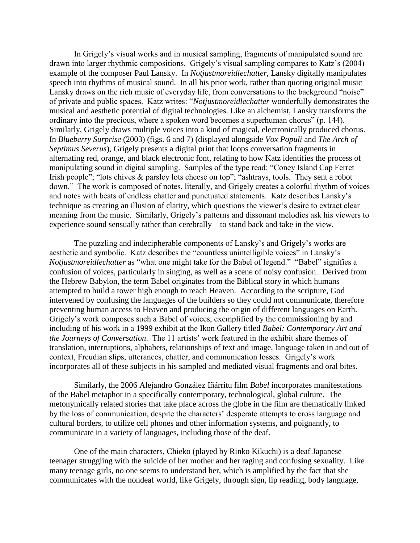In Grigely's visual works and in musical sampling, fragments of manipulated sound are drawn into larger rhythmic compositions. Grigely's visual sampling compares to Katz's (2004) example of the composer Paul Lansky. In *Notjustmoreidlechatter*, Lansky digitally manipulates speech into rhythms of musical sound. In all his prior work, rather than quoting original music Lansky draws on the rich music of everyday life, from conversations to the background "noise" of private and public spaces. Katz writes: "*Notjustmoreidlechatter* wonderfully demonstrates the musical and aesthetic potential of digital technologies. Like an alchemist, Lansky transforms the ordinary into the precious, where a spoken word becomes a superhuman chorus" (p. 144). Similarly, Grigely draws multiple voices into a kind of magical, electronically produced chorus. In *Blueberry Surprise* (2003) (figs. [6](#page-13-0) and [7\)](#page-13-1) (displayed alongside *Vox Populi* and *The Arch of Septimus Severus*), Grigely presents a digital print that loops conversation fragments in alternating red, orange, and black electronic font, relating to how Katz identifies the process of manipulating sound in digital sampling. Samples of the type read: "Coney Island Cap Ferret Irish people"; "lots chives & parsley lots cheese on top"; "ashtrays, tools. They sent a robot down." The work is composed of notes, literally, and Grigely creates a colorful rhythm of voices and notes with beats of endless chatter and punctuated statements. Katz describes Lansky's technique as creating an illusion of clarity, which questions the viewer's desire to extract clear meaning from the music. Similarly, Grigely's patterns and dissonant melodies ask his viewers to experience sound sensually rather than cerebrally – to stand back and take in the view.

The puzzling and indecipherable components of Lansky's and Grigely's works are aesthetic and symbolic. Katz describes the "countless unintelligible voices" in Lansky's *Notjustmoreidlechatter* as "what one might take for the Babel of legend." "Babel" signifies a confusion of voices, particularly in singing, as well as a scene of noisy confusion. Derived from the Hebrew Babylon, the term Babel originates from the Biblical story in which humans attempted to build a tower high enough to reach Heaven. According to the scripture, God intervened by confusing the languages of the builders so they could not communicate, therefore preventing human access to Heaven and producing the origin of different languages on Earth. Grigely's work composes such a Babel of voices, exemplified by the commissioning by and including of his work in a 1999 exhibit at the Ikon Gallery titled *Babel: Contemporary Art and the Journeys of Conversation*. The 11 artists' work featured in the exhibit share themes of translation, interruptions, alphabets, relationships of text and image, language taken in and out of context, Freudian slips, utterances, chatter, and communication losses. Grigely's work incorporates all of these subjects in his sampled and mediated visual fragments and oral bites.

Similarly, the 2006 Alejandro González Iñárritu film *Babel* incorporates manifestations of the Babel metaphor in a specifically contemporary, technological, global culture. The metonymically related stories that take place across the globe in the film are thematically linked by the loss of communication, despite the characters' desperate attempts to cross language and cultural borders, to utilize cell phones and other information systems, and poignantly, to communicate in a variety of languages, including those of the deaf.

One of the main characters, Chieko (played by Rinko Kikuchi) is a deaf Japanese teenager struggling with the suicide of her mother and her raging and confusing sexuality. Like many teenage girls, no one seems to understand her, which is amplified by the fact that she communicates with the nondeaf world, like Grigely, through sign, lip reading, body language,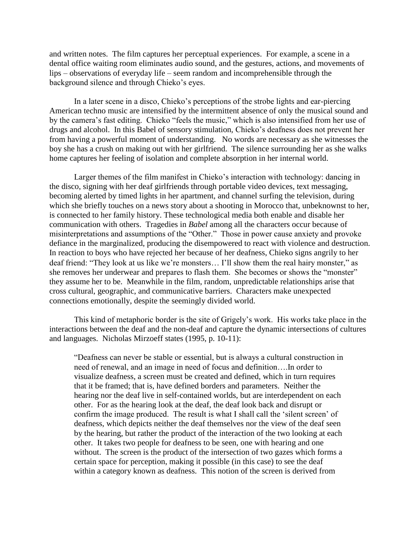and written notes. The film captures her perceptual experiences. For example, a scene in a dental office waiting room eliminates audio sound, and the gestures, actions, and movements of lips – observations of everyday life – seem random and incomprehensible through the background silence and through Chieko's eyes.

In a later scene in a disco, Chieko's perceptions of the strobe lights and ear-piercing American techno music are intensified by the intermittent absence of only the musical sound and by the camera's fast editing. Chieko "feels the music," which is also intensified from her use of drugs and alcohol. In this Babel of sensory stimulation, Chieko's deafness does not prevent her from having a powerful moment of understanding. No words are necessary as she witnesses the boy she has a crush on making out with her girlfriend. The silence surrounding her as she walks home captures her feeling of isolation and complete absorption in her internal world.

Larger themes of the film manifest in Chieko's interaction with technology: dancing in the disco, signing with her deaf girlfriends through portable video devices, text messaging, becoming alerted by timed lights in her apartment, and channel surfing the television, during which she briefly touches on a news story about a shooting in Morocco that, unbeknownst to her, is connected to her family history. These technological media both enable and disable her communication with others. Tragedies in *Babel* among all the characters occur because of misinterpretations and assumptions of the "Other." Those in power cause anxiety and provoke defiance in the marginalized, producing the disempowered to react with violence and destruction. In reaction to boys who have rejected her because of her deafness, Chieko signs angrily to her deaf friend: "They look at us like we're monsters... I'll show them the real hairy monster," as she removes her underwear and prepares to flash them. She becomes or shows the "monster" they assume her to be. Meanwhile in the film, random, unpredictable relationships arise that cross cultural, geographic, and communicative barriers. Characters make unexpected connections emotionally, despite the seemingly divided world.

This kind of metaphoric border is the site of Grigely's work. His works take place in the interactions between the deaf and the non-deaf and capture the dynamic intersections of cultures and languages. Nicholas Mirzoeff states (1995, p. 10-11):

"Deafness can never be stable or essential, but is always a cultural construction in need of renewal, and an image in need of focus and definition….In order to visualize deafness, a screen must be created and defined, which in turn requires that it be framed; that is, have defined borders and parameters. Neither the hearing nor the deaf live in self-contained worlds, but are interdependent on each other. For as the hearing look at the deaf, the deaf look back and disrupt or confirm the image produced. The result is what I shall call the 'silent screen' of deafness, which depicts neither the deaf themselves nor the view of the deaf seen by the hearing, but rather the product of the interaction of the two looking at each other. It takes two people for deafness to be seen, one with hearing and one without. The screen is the product of the intersection of two gazes which forms a certain space for perception, making it possible (in this case) to see the deaf within a category known as deafness. This notion of the screen is derived from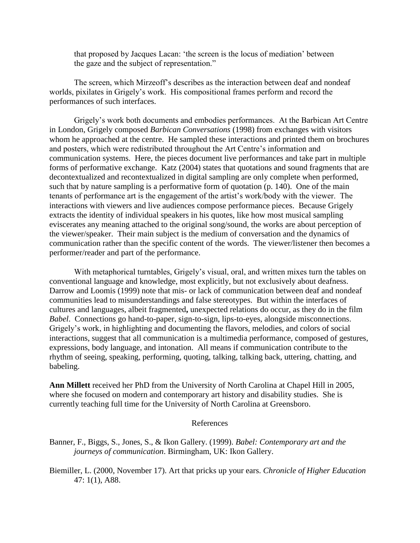that proposed by Jacques Lacan: 'the screen is the locus of mediation' between the gaze and the subject of representation."

The screen, which Mirzeoff's describes as the interaction between deaf and nondeaf worlds, pixilates in Grigely's work. His compositional frames perform and record the performances of such interfaces.

Grigely's work both documents and embodies performances. At the Barbican Art Centre in London, Grigely composed *Barbican Conversations* (1998) from exchanges with visitors whom he approached at the centre. He sampled these interactions and printed them on brochures and posters, which were redistributed throughout the Art Centre's information and communication systems. Here, the pieces document live performances and take part in multiple forms of performative exchange. Katz (2004) states that quotations and sound fragments that are decontextualized and recontextualized in digital sampling are only complete when performed, such that by nature sampling is a performative form of quotation (p. 140). One of the main tenants of performance art is the engagement of the artist's work/body with the viewer. The interactions with viewers and live audiences compose performance pieces. Because Grigely extracts the identity of individual speakers in his quotes, like how most musical sampling eviscerates any meaning attached to the original song/sound, the works are about perception of the viewer/speaker. Their main subject is the medium of conversation and the dynamics of communication rather than the specific content of the words. The viewer/listener then becomes a performer/reader and part of the performance.

With metaphorical turntables, Grigely's visual, oral, and written mixes turn the tables on conventional language and knowledge, most explicitly, but not exclusively about deafness. Darrow and Loomis (1999) note that mis- or lack of communication between deaf and nondeaf communities lead to misunderstandings and false stereotypes. But within the interfaces of cultures and languages, albeit fragmented**,** unexpected relations do occur, as they do in the film *Babel*. Connections go hand-to-paper, sign-to-sign, lips-to-eyes, alongside misconnections. Grigely's work, in highlighting and documenting the flavors, melodies, and colors of social interactions, suggest that all communication is a multimedia performance, composed of gestures, expressions, body language, and intonation. All means if communication contribute to the rhythm of seeing, speaking, performing, quoting, talking, talking back, uttering, chatting, and babeling.

**Ann Millett** received her PhD from the University of North Carolina at Chapel Hill in 2005, where she focused on modern and contemporary art history and disability studies. She is currently teaching full time for the University of North Carolina at Greensboro.

## References

Banner, F., Biggs, S., Jones, S., & Ikon Gallery. (1999). *Babel: Contemporary art and the journeys of communication*. Birmingham, UK: Ikon Gallery.

Biemiller, L. (2000, November 17). Art that pricks up your ears. *Chronicle of Higher Education* 47: 1(1), A88.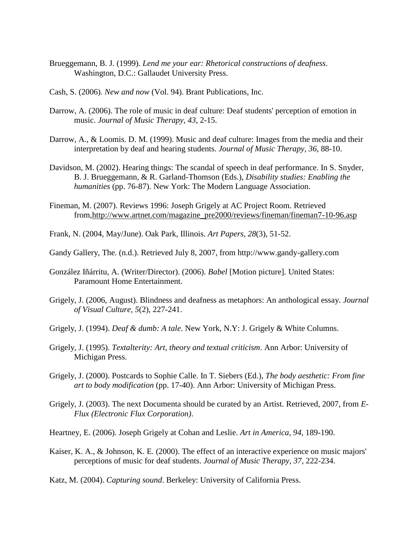- Brueggemann, B. J. (1999). *Lend me your ear: Rhetorical constructions of deafness*. Washington, D.C.: Gallaudet University Press.
- Cash, S. (2006). *New and now* (Vol. 94). Brant Publications, Inc.
- Darrow, A. (2006). The role of music in deaf culture: Deaf students' perception of emotion in music. *Journal of Music Therapy, 43*, 2-15.
- Darrow, A., & Loomis. D. M. (1999). Music and deaf culture: Images from the media and their interpretation by deaf and hearing students. *Journal of Music Therapy, 36*, 88-10.
- Davidson, M. (2002). Hearing things: The scandal of speech in deaf performance. In S. Snyder, B. J. Brueggemann, & R. Garland-Thomson (Eds.), *Disability studies: Enabling the humanities* (pp. 76-87). New York: The Modern Language Association.
- Fineman, M. (2007). Reviews 1996: Joseph Grigely at AC Project Room. Retrieved from[,http://www.artnet.com/magazine\\_pre2000/reviews/fineman/fineman7-10-96.asp](http://www.artnet.com/magazine_pre2000/reviews/fineman/fineman7-10-96.asp)
- Frank, N. (2004, May/June). Oak Park, Illinois. *Art Papers, 28*(3), 51-52.
- Gandy Gallery, The. (n.d.). Retrieved July 8, 2007, from http://www.gandy-gallery.com
- González Iñárritu, A. (Writer/Director). (2006). *Babel* [Motion picture]*.* United States: Paramount Home Entertainment.
- Grigely, J. (2006, August). Blindness and deafness as metaphors: An anthological essay. *Journal of Visual Culture, 5*(2), 227-241.
- Grigely, J. (1994). *Deaf & dumb: A tale*. New York, N.Y: J. Grigely & White Columns.
- Grigely, J. (1995). *Textalterity: Art, theory and textual criticism*. Ann Arbor: University of Michigan Press.
- Grigely, J. (2000). Postcards to Sophie Calle. In T. Siebers (Ed.), *The body aesthetic: From fine art to body modification* (pp. 17-40). Ann Arbor: University of Michigan Press.
- Grigely, J. (2003). The next Documenta should be curated by an Artist. Retrieved, 2007, from *E-Flux (Electronic Flux Corporation)*.
- Heartney, E. (2006). Joseph Grigely at Cohan and Leslie. *Art in America, 94*, 189-190.
- Kaiser, K. A., & Johnson, K. E. (2000). The effect of an interactive experience on music majors' perceptions of music for deaf students. *Journal of Music Therapy, 37*, 222-234.
- Katz, M. (2004). *Capturing sound*. Berkeley: University of California Press.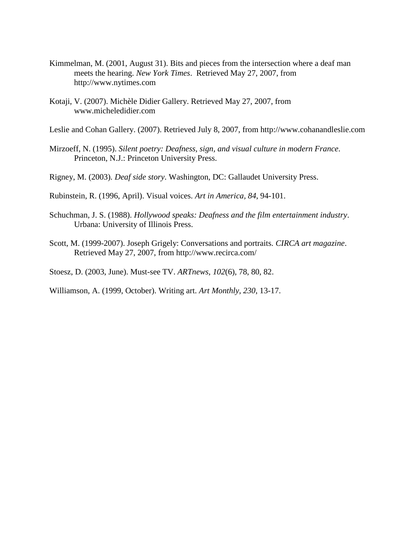- Kimmelman, M. (2001, August 31). Bits and pieces from the intersection where a deaf man meets the hearing. *New York Times*. Retrieved May 27, 2007, from http://www.nytimes.com
- Kotaji, V. (2007). Michèle Didier Gallery. Retrieved May 27, 2007, from www.micheledidier.com

Leslie and Cohan Gallery. (2007). Retrieved July 8, 2007, from http://www.cohanandleslie.com

- Mirzoeff, N. (1995). *Silent poetry: Deafness, sign, and visual culture in modern France*. Princeton, N.J.: Princeton University Press.
- Rigney, M. (2003). *Deaf side story*. Washington, DC: Gallaudet University Press.

Rubinstein, R. (1996, April). Visual voices. *Art in America, 84*, 94-101.

- Schuchman, J. S. (1988). *Hollywood speaks: Deafness and the film entertainment industry*. Urbana: University of Illinois Press.
- Scott, M. (1999-2007). Joseph Grigely: Conversations and portraits. *CIRCA art magazine*. Retrieved May 27, 2007, from http://www.recirca.com/

Stoesz, D. (2003, June). Must-see TV. *ARTnews, 102*(6), 78, 80, 82.

Williamson, A. (1999, October). Writing art. *Art Monthly, 230*, 13-17.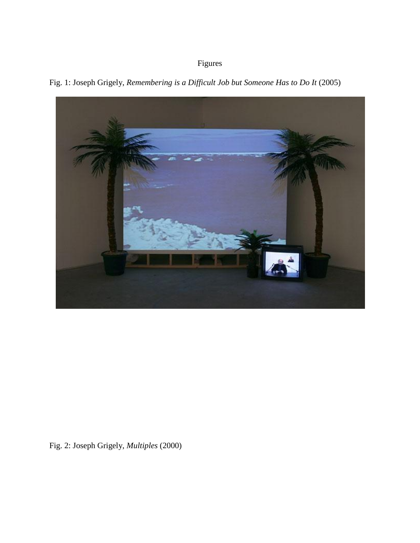## Figures



<span id="page-10-0"></span>Fig. 1: Joseph Grigely, *Remembering is a Difficult Job but Someone Has to Do It* (2005)

Fig. 2: Joseph Grigely, *Multiples* (2000)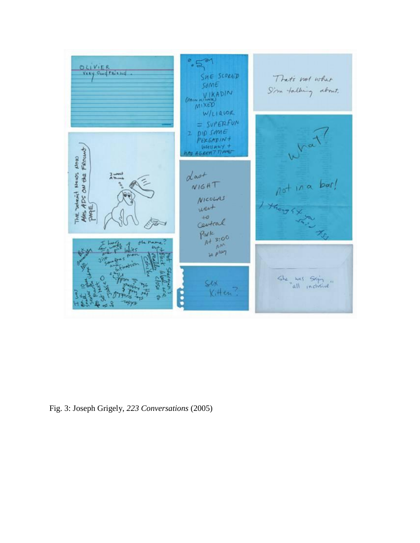

<span id="page-11-0"></span>Fig. 3: Joseph Grigely, *223 Conversations* (2005)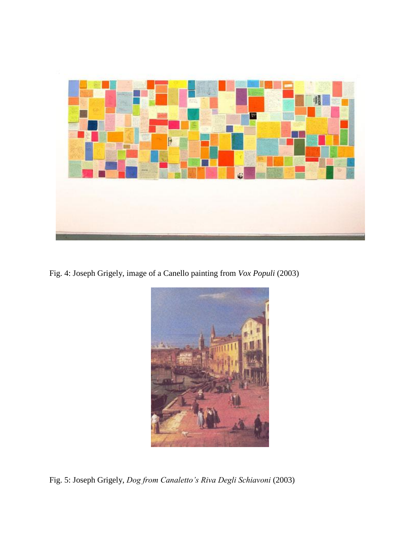

Fig. 4: Joseph Grigely, image of a Canello painting from *Vox Populi* (2003)

<span id="page-12-2"></span><span id="page-12-1"></span><span id="page-12-0"></span>

Fig. 5: Joseph Grigely, *Dog from Canaletto's Riva Degli Schiavoni* (2003)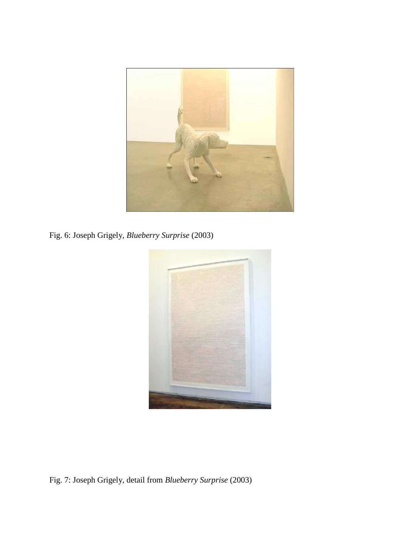

Fig. 6: Joseph Grigely, *Blueberry Surprise* (2003)

<span id="page-13-0"></span>

<span id="page-13-1"></span>Fig. 7: Joseph Grigely, detail from *Blueberry Surprise* (2003)